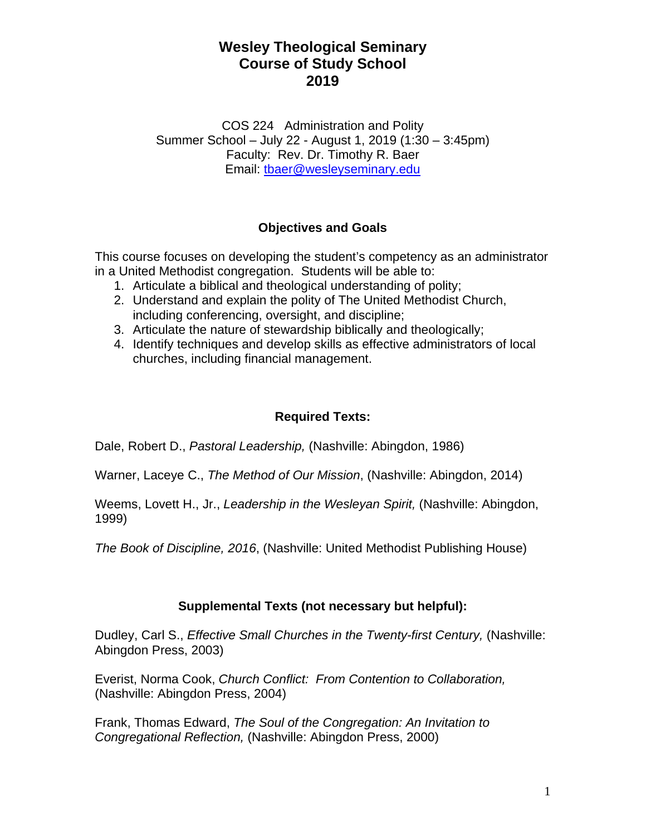COS 224 Administration and Polity Summer School – July 22 - August 1, 2019 (1:30 – 3:45pm) Faculty: Rev. Dr. Timothy R. Baer Email: tbaer@wesleyseminary.edu

## **Objectives and Goals**

This course focuses on developing the student's competency as an administrator in a United Methodist congregation. Students will be able to:

- 1. Articulate a biblical and theological understanding of polity;
- 2. Understand and explain the polity of The United Methodist Church, including conferencing, oversight, and discipline;
- 3. Articulate the nature of stewardship biblically and theologically;
- 4. Identify techniques and develop skills as effective administrators of local churches, including financial management.

## **Required Texts:**

Dale, Robert D., *Pastoral Leadership,* (Nashville: Abingdon, 1986)

Warner, Laceye C., *The Method of Our Mission*, (Nashville: Abingdon, 2014)

Weems, Lovett H., Jr., *Leadership in the Wesleyan Spirit,* (Nashville: Abingdon, 1999)

*The Book of Discipline, 2016*, (Nashville: United Methodist Publishing House)

### **Supplemental Texts (not necessary but helpful):**

Dudley, Carl S., *Effective Small Churches in the Twenty-first Century,* (Nashville: Abingdon Press, 2003)

Everist, Norma Cook, *Church Conflict: From Contention to Collaboration,* (Nashville: Abingdon Press, 2004)

Frank, Thomas Edward, *The Soul of the Congregation: An Invitation to Congregational Reflection,* (Nashville: Abingdon Press, 2000)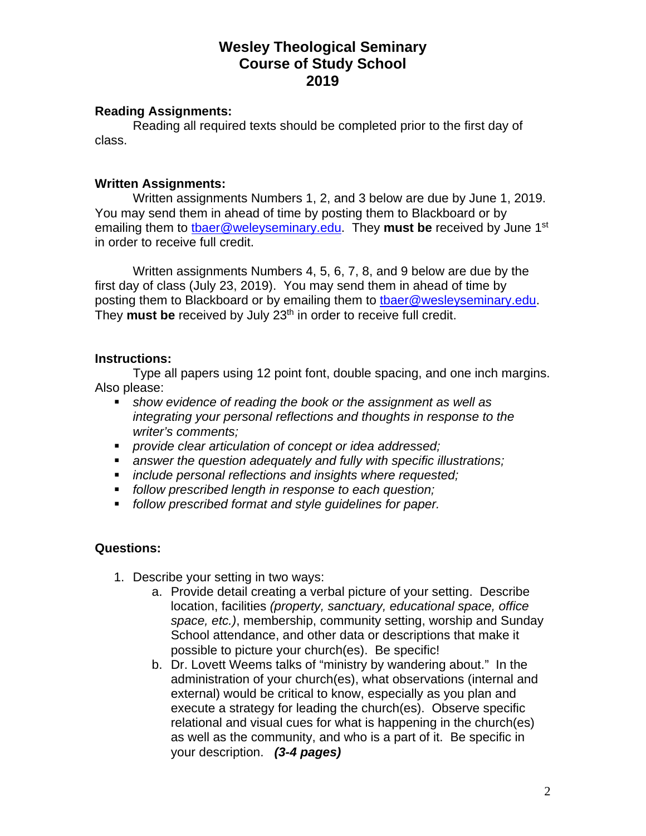#### **Reading Assignments:**

 Reading all required texts should be completed prior to the first day of class.

#### **Written Assignments:**

 Written assignments Numbers 1, 2, and 3 below are due by June 1, 2019. You may send them in ahead of time by posting them to Blackboard or by emailing them to tbaer@weleyseminary.edu. They **must be** received by June 1st in order to receive full credit.

 Written assignments Numbers 4, 5, 6, 7, 8, and 9 below are due by the first day of class (July 23, 2019). You may send them in ahead of time by posting them to Blackboard or by emailing them to tbaer@wesleyseminary.edu. They **must be** received by July 23<sup>th</sup> in order to receive full credit.

#### **Instructions:**

 Type all papers using 12 point font, double spacing, and one inch margins. Also please:

- *show evidence of reading the book or the assignment as well as integrating your personal reflections and thoughts in response to the writer's comments;*
- *provide clear articulation of concept or idea addressed;*
- *answer the question adequately and fully with specific illustrations;*
- *include personal reflections and insights where requested;*
- *follow prescribed length in response to each question;*
- *follow prescribed format and style guidelines for paper.*

### **Questions:**

- 1. Describe your setting in two ways:
	- a. Provide detail creating a verbal picture of your setting. Describe location, facilities *(property, sanctuary, educational space, office space, etc.)*, membership, community setting, worship and Sunday School attendance, and other data or descriptions that make it possible to picture your church(es). Be specific!
	- b. Dr. Lovett Weems talks of "ministry by wandering about." In the administration of your church(es), what observations (internal and external) would be critical to know, especially as you plan and execute a strategy for leading the church(es). Observe specific relational and visual cues for what is happening in the church(es) as well as the community, and who is a part of it. Be specific in your description. *(3-4 pages)*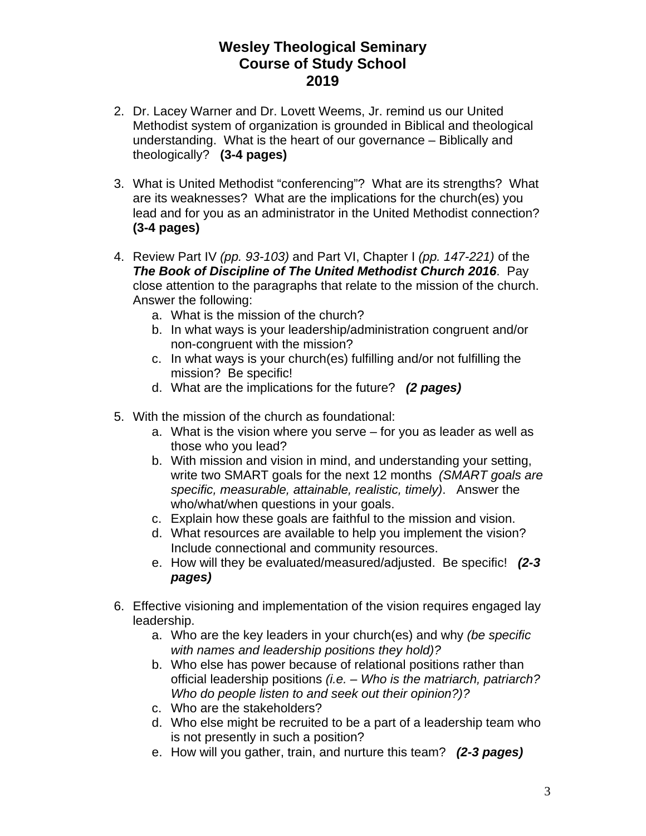- 2. Dr. Lacey Warner and Dr. Lovett Weems, Jr. remind us our United Methodist system of organization is grounded in Biblical and theological understanding. What is the heart of our governance – Biblically and theologically? **(3-4 pages)**
- 3. What is United Methodist "conferencing"? What are its strengths? What are its weaknesses? What are the implications for the church(es) you lead and for you as an administrator in the United Methodist connection? **(3-4 pages)**
- 4. Review Part IV *(pp. 93-103)* and Part VI, Chapter I *(pp. 147-221)* of the *The Book of Discipline of The United Methodist Church 2016*. Pay close attention to the paragraphs that relate to the mission of the church. Answer the following:
	- a. What is the mission of the church?
	- b. In what ways is your leadership/administration congruent and/or non-congruent with the mission?
	- c. In what ways is your church(es) fulfilling and/or not fulfilling the mission? Be specific!
	- d. What are the implications for the future? *(2 pages)*
- 5. With the mission of the church as foundational:
	- a. What is the vision where you serve for you as leader as well as those who you lead?
	- b. With mission and vision in mind, and understanding your setting, write two SMART goals for the next 12 months *(SMART goals are specific, measurable, attainable, realistic, timely)*. Answer the who/what/when questions in your goals.
	- c. Explain how these goals are faithful to the mission and vision.
	- d. What resources are available to help you implement the vision? Include connectional and community resources.
	- e. How will they be evaluated/measured/adjusted. Be specific! *(2-3 pages)*
- 6. Effective visioning and implementation of the vision requires engaged lay leadership.
	- a. Who are the key leaders in your church(es) and why *(be specific with names and leadership positions they hold)?*
	- b. Who else has power because of relational positions rather than official leadership positions *(i.e. – Who is the matriarch, patriarch? Who do people listen to and seek out their opinion?)?*
	- c. Who are the stakeholders?
	- d. Who else might be recruited to be a part of a leadership team who is not presently in such a position?
	- e. How will you gather, train, and nurture this team? *(2-3 pages)*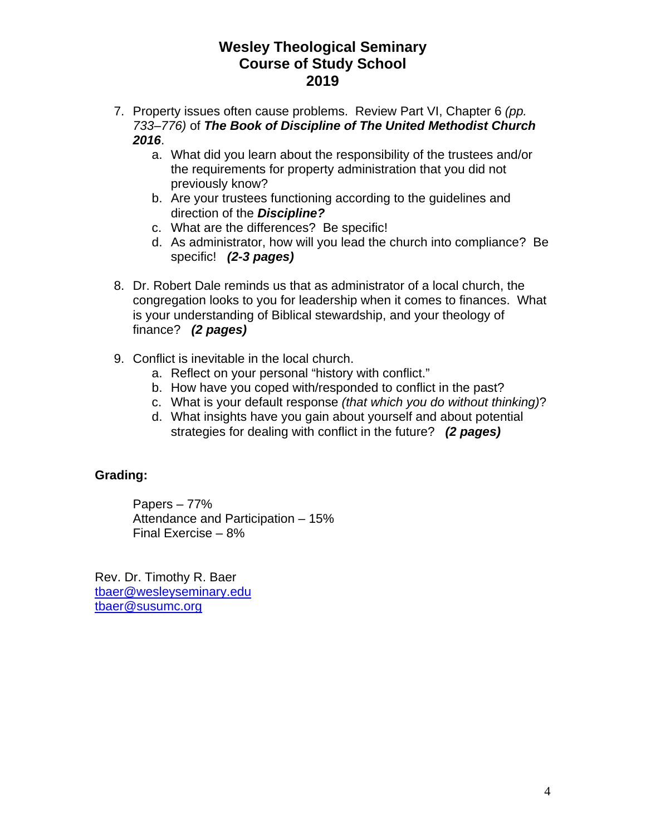- 7. Property issues often cause problems. Review Part VI, Chapter 6 *(pp. 733–776)* of *The Book of Discipline of The United Methodist Church 2016*.
	- a. What did you learn about the responsibility of the trustees and/or the requirements for property administration that you did not previously know?
	- b. Are your trustees functioning according to the guidelines and direction of the *Discipline?*
	- c. What are the differences? Be specific!
	- d. As administrator, how will you lead the church into compliance? Be specific! *(2-3 pages)*
- 8. Dr. Robert Dale reminds us that as administrator of a local church, the congregation looks to you for leadership when it comes to finances. What is your understanding of Biblical stewardship, and your theology of finance? *(2 pages)*
- 9. Conflict is inevitable in the local church.
	- a. Reflect on your personal "history with conflict."
	- b. How have you coped with/responded to conflict in the past?
	- c. What is your default response *(that which you do without thinking)*?
	- d. What insights have you gain about yourself and about potential strategies for dealing with conflict in the future? *(2 pages)*

### **Grading:**

Papers – 77% Attendance and Participation – 15% Final Exercise – 8%

Rev. Dr. Timothy R. Baer tbaer@wesleyseminary.edu tbaer@susumc.org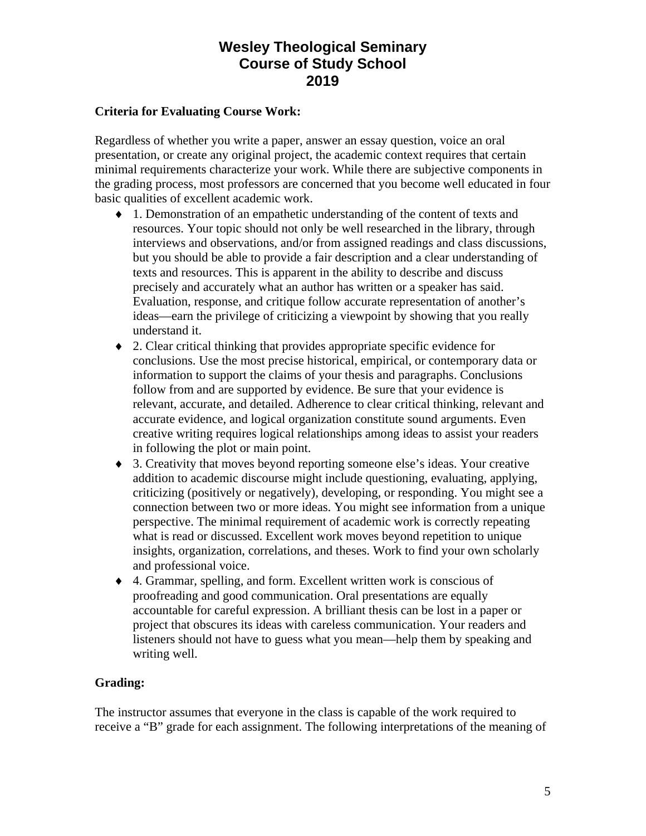#### **Criteria for Evaluating Course Work:**

Regardless of whether you write a paper, answer an essay question, voice an oral presentation, or create any original project, the academic context requires that certain minimal requirements characterize your work. While there are subjective components in the grading process, most professors are concerned that you become well educated in four basic qualities of excellent academic work.

- 1. Demonstration of an empathetic understanding of the content of texts and resources. Your topic should not only be well researched in the library, through interviews and observations, and/or from assigned readings and class discussions, but you should be able to provide a fair description and a clear understanding of texts and resources. This is apparent in the ability to describe and discuss precisely and accurately what an author has written or a speaker has said. Evaluation, response, and critique follow accurate representation of another's ideas—earn the privilege of criticizing a viewpoint by showing that you really understand it.
- 2. Clear critical thinking that provides appropriate specific evidence for conclusions. Use the most precise historical, empirical, or contemporary data or information to support the claims of your thesis and paragraphs. Conclusions follow from and are supported by evidence. Be sure that your evidence is relevant, accurate, and detailed. Adherence to clear critical thinking, relevant and accurate evidence, and logical organization constitute sound arguments. Even creative writing requires logical relationships among ideas to assist your readers in following the plot or main point.
- 3. Creativity that moves beyond reporting someone else's ideas. Your creative addition to academic discourse might include questioning, evaluating, applying, criticizing (positively or negatively), developing, or responding. You might see a connection between two or more ideas. You might see information from a unique perspective. The minimal requirement of academic work is correctly repeating what is read or discussed. Excellent work moves beyond repetition to unique insights, organization, correlations, and theses. Work to find your own scholarly and professional voice.
- 4. Grammar, spelling, and form. Excellent written work is conscious of proofreading and good communication. Oral presentations are equally accountable for careful expression. A brilliant thesis can be lost in a paper or project that obscures its ideas with careless communication. Your readers and listeners should not have to guess what you mean—help them by speaking and writing well.

#### **Grading:**

The instructor assumes that everyone in the class is capable of the work required to receive a "B" grade for each assignment. The following interpretations of the meaning of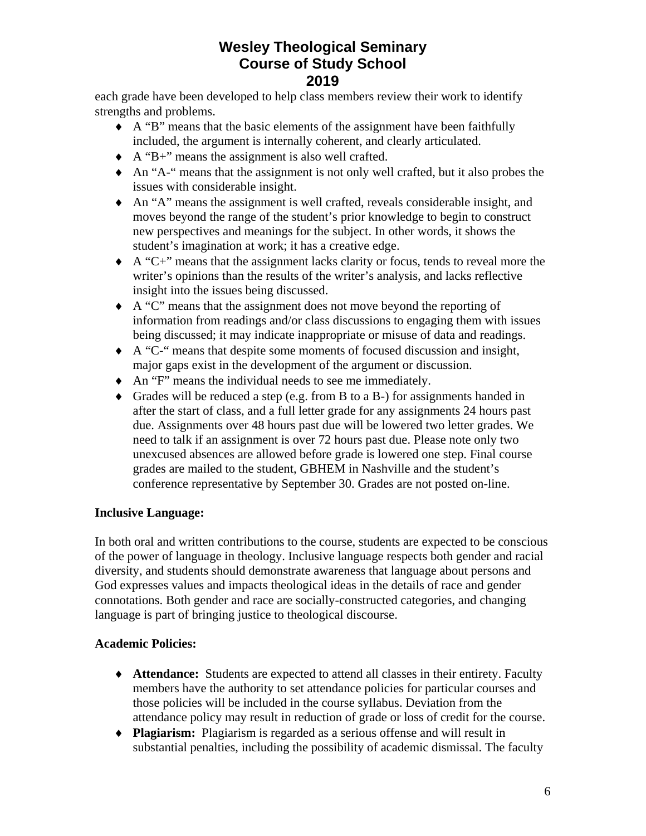each grade have been developed to help class members review their work to identify strengths and problems.

- A "B" means that the basic elements of the assignment have been faithfully included, the argument is internally coherent, and clearly articulated.
- A "B+" means the assignment is also well crafted.
- An "A-" means that the assignment is not only well crafted, but it also probes the issues with considerable insight.
- An "A" means the assignment is well crafted, reveals considerable insight, and moves beyond the range of the student's prior knowledge to begin to construct new perspectives and meanings for the subject. In other words, it shows the student's imagination at work; it has a creative edge.
- A "C+" means that the assignment lacks clarity or focus, tends to reveal more the writer's opinions than the results of the writer's analysis, and lacks reflective insight into the issues being discussed.
- A "C" means that the assignment does not move beyond the reporting of information from readings and/or class discussions to engaging them with issues being discussed; it may indicate inappropriate or misuse of data and readings.
- A "C-" means that despite some moments of focused discussion and insight, major gaps exist in the development of the argument or discussion.
- An "F" means the individual needs to see me immediately.
- Grades will be reduced a step (e.g. from B to a B-) for assignments handed in after the start of class, and a full letter grade for any assignments 24 hours past due. Assignments over 48 hours past due will be lowered two letter grades. We need to talk if an assignment is over 72 hours past due. Please note only two unexcused absences are allowed before grade is lowered one step. Final course grades are mailed to the student, GBHEM in Nashville and the student's conference representative by September 30. Grades are not posted on-line.

### **Inclusive Language:**

In both oral and written contributions to the course, students are expected to be conscious of the power of language in theology. Inclusive language respects both gender and racial diversity, and students should demonstrate awareness that language about persons and God expresses values and impacts theological ideas in the details of race and gender connotations. Both gender and race are socially-constructed categories, and changing language is part of bringing justice to theological discourse.

### **Academic Policies:**

- **Attendance:** Students are expected to attend all classes in their entirety. Faculty members have the authority to set attendance policies for particular courses and those policies will be included in the course syllabus. Deviation from the attendance policy may result in reduction of grade or loss of credit for the course.
- **Plagiarism:** Plagiarism is regarded as a serious offense and will result in substantial penalties, including the possibility of academic dismissal. The faculty